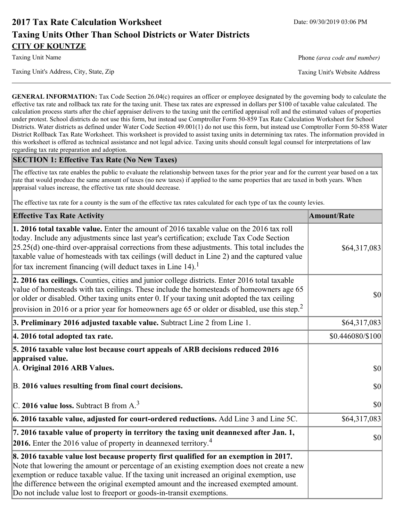# **2017 Tax Rate Calculation Worksheet** Date: 09/30/2019 03:06 PM **Taxing Units Other Than School Districts or Water Districts CITY OF KOUNTZE**

Taxing Unit Name **Phone** *(area code and number)* Phone *(area code and number)* 

**GENERAL INFORMATION:** Tax Code Section 26.04(c) requires an officer or employee designated by the governing body to calculate the effective tax rate and rollback tax rate for the taxing unit. These tax rates are expressed in dollars per \$100 of taxable value calculated. The calculation process starts after the chief appraiser delivers to the taxing unit the certified appraisal roll and the estimated values of properties under protest. School districts do not use this form, but instead use Comptroller Form 50-859 Tax Rate Calculation Worksheet for School Districts. Water districts as defined under Water Code Section 49.001(1) do not use this form, but instead use Comptroller Form 50-858 Water District Rollback Tax Rate Worksheet. This worksheet is provided to assist taxing units in determining tax rates. The information provided in this worksheet is offered as technical assistance and not legal advice. Taxing units should consult legal counsel for interpretations of law regarding tax rate preparation and adoption.

## **SECTION 1: Effective Tax Rate (No New Taxes)**

The effective tax rate enables the public to evaluate the relationship between taxes for the prior year and for the current year based on a tax rate that would produce the same amount of taxes (no new taxes) if applied to the same properties that are taxed in both years. When appraisal values increase, the effective tax rate should decrease.

The effective tax rate for a county is the sum of the effective tax rates calculated for each type of tax the county levies.

| <b>Effective Tax Rate Activity</b>                                                                                                                                                                                                                                                                                                                                                                                                                             | <b>Amount/Rate</b> |
|----------------------------------------------------------------------------------------------------------------------------------------------------------------------------------------------------------------------------------------------------------------------------------------------------------------------------------------------------------------------------------------------------------------------------------------------------------------|--------------------|
| <b>1. 2016 total taxable value.</b> Enter the amount of 2016 taxable value on the 2016 tax roll<br>today. Include any adjustments since last year's certification; exclude Tax Code Section<br>$[25.25(d)$ one-third over-appraisal corrections from these adjustments. This total includes the<br>taxable value of homesteads with tax ceilings (will deduct in Line 2) and the captured value<br>for tax increment financing (will deduct taxes in Line 14). | \$64,317,083       |
| 2. 2016 tax ceilings. Counties, cities and junior college districts. Enter 2016 total taxable<br>value of homesteads with tax ceilings. These include the homesteads of homeowners age 65<br>or older or disabled. Other taxing units enter 0. If your taxing unit adopted the tax ceiling<br>provision in 2016 or a prior year for homeowners age 65 or older or disabled, use this step. <sup>2</sup>                                                        | 30                 |
| 3. Preliminary 2016 adjusted taxable value. Subtract Line 2 from Line 1.                                                                                                                                                                                                                                                                                                                                                                                       | \$64,317,083       |
| 4. 2016 total adopted tax rate.                                                                                                                                                                                                                                                                                                                                                                                                                                | \$0.446080/\$100   |
| 5. 2016 taxable value lost because court appeals of ARB decisions reduced 2016<br>appraised value.<br>A. Original 2016 ARB Values.                                                                                                                                                                                                                                                                                                                             | $ 10\rangle$       |
| B. 2016 values resulting from final court decisions.                                                                                                                                                                                                                                                                                                                                                                                                           | 30                 |
| C. 2016 value loss. Subtract B from $A3$                                                                                                                                                                                                                                                                                                                                                                                                                       | 30                 |
| 6. 2016 taxable value, adjusted for court-ordered reductions. Add Line 3 and Line 5C.                                                                                                                                                                                                                                                                                                                                                                          | \$64,317,083       |
| 7. 2016 taxable value of property in territory the taxing unit deannexed after Jan. 1,<br><b>2016.</b> Enter the 2016 value of property in deannexed territory. <sup>4</sup>                                                                                                                                                                                                                                                                                   | $ 10\rangle$       |
| 8. 2016 taxable value lost because property first qualified for an exemption in 2017.<br>Note that lowering the amount or percentage of an existing exemption does not create a new<br>exemption or reduce taxable value. If the taxing unit increased an original exemption, use<br>the difference between the original exempted amount and the increased exempted amount.<br>Do not include value lost to freeport or goods-in-transit exemptions.           |                    |

Taxing Unit's Address, City, State, Zip Taxing Unit's Website Address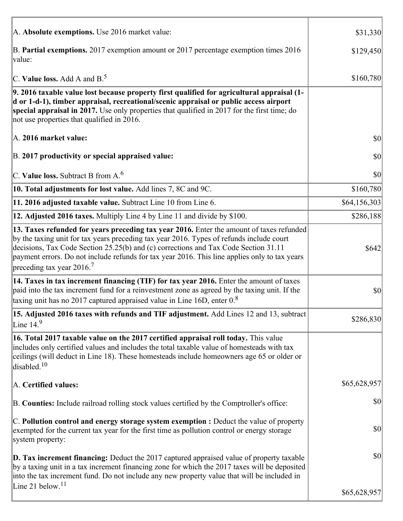| A. Absolute exemptions. Use 2016 market value:                                                                                                                                                                                                                                                                                                                                                                         | \$31,330     |
|------------------------------------------------------------------------------------------------------------------------------------------------------------------------------------------------------------------------------------------------------------------------------------------------------------------------------------------------------------------------------------------------------------------------|--------------|
| B. Partial exemptions. 2017 exemption amount or 2017 percentage exemption times 2016<br>value:                                                                                                                                                                                                                                                                                                                         | \$129,450    |
| C. Value loss. Add A and $B^5$ .                                                                                                                                                                                                                                                                                                                                                                                       | \$160,780    |
| 9. 2016 taxable value lost because property first qualified for agricultural appraisal (1-<br>d or 1-d-1), timber appraisal, recreational/scenic appraisal or public access airport<br>special appraisal in 2017. Use only properties that qualified in 2017 for the first time; do<br>not use properties that qualified in 2016.                                                                                      |              |
| A. 2016 market value:                                                                                                                                                                                                                                                                                                                                                                                                  | 30           |
| B. 2017 productivity or special appraised value:                                                                                                                                                                                                                                                                                                                                                                       | \$0          |
| C. Value loss. Subtract B from $A6$                                                                                                                                                                                                                                                                                                                                                                                    | \$0          |
| 10. Total adjustments for lost value. Add lines 7, 8C and 9C.                                                                                                                                                                                                                                                                                                                                                          | \$160,780    |
| 11. 2016 adjusted taxable value. Subtract Line 10 from Line 6.                                                                                                                                                                                                                                                                                                                                                         | \$64,156,303 |
| 12. Adjusted 2016 taxes. Multiply Line 4 by Line 11 and divide by \$100.                                                                                                                                                                                                                                                                                                                                               | \$286,188    |
| 13. Taxes refunded for years preceding tax year 2016. Enter the amount of taxes refunded<br>by the taxing unit for tax years preceding tax year 2016. Types of refunds include court<br>decisions, Tax Code Section 25.25(b) and (c) corrections and Tax Code Section 31.11<br>payment errors. Do not include refunds for tax year 2016. This line applies only to tax years<br>preceding tax year $2016$ <sup>7</sup> | \$642        |
| 14. Taxes in tax increment financing (TIF) for tax year 2016. Enter the amount of taxes<br>paid into the tax increment fund for a reinvestment zone as agreed by the taxing unit. If the<br>taxing unit has no 2017 captured appraised value in Line 16D, enter $0.8$                                                                                                                                                  | \$0          |
| 15. Adjusted 2016 taxes with refunds and TIF adjustment. Add Lines 12 and 13, subtract<br>Line $149$                                                                                                                                                                                                                                                                                                                   | \$286,830    |
| 16. Total 2017 taxable value on the 2017 certified appraisal roll today. This value<br>includes only certified values and includes the total taxable value of homesteads with tax<br>ceilings (will deduct in Line 18). These homesteads include homeowners age 65 or older or<br>disabled. <sup>10</sup>                                                                                                              |              |
| A. Certified values:                                                                                                                                                                                                                                                                                                                                                                                                   | \$65,628,957 |
| B. Counties: Include railroad rolling stock values certified by the Comptroller's office:                                                                                                                                                                                                                                                                                                                              | \$0          |
| $ C$ . Pollution control and energy storage system exemption : Deduct the value of property<br>exempted for the current tax year for the first time as pollution control or energy storage<br>system property:                                                                                                                                                                                                         | \$0          |
| <b>D. Tax increment financing:</b> Deduct the 2017 captured appraised value of property taxable<br>by a taxing unit in a tax increment financing zone for which the 2017 taxes will be deposited<br>into the tax increment fund. Do not include any new property value that will be included in<br>Line 21 below. <sup>11</sup>                                                                                        | \$0          |
|                                                                                                                                                                                                                                                                                                                                                                                                                        | \$65,628,957 |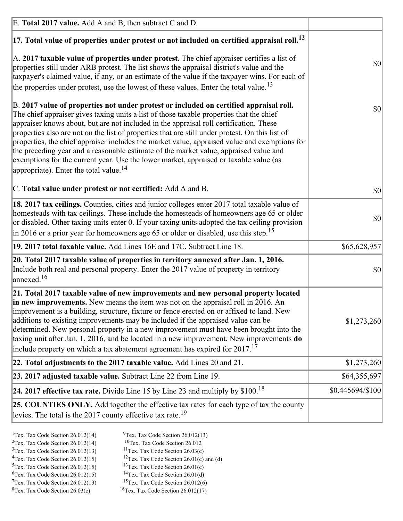| E. Total 2017 value. Add A and B, then subtract C and D.                                                                                                                                                                                                                                                                                                                                                                                                                                                                                                                                                                                                                                                                 |                  |
|--------------------------------------------------------------------------------------------------------------------------------------------------------------------------------------------------------------------------------------------------------------------------------------------------------------------------------------------------------------------------------------------------------------------------------------------------------------------------------------------------------------------------------------------------------------------------------------------------------------------------------------------------------------------------------------------------------------------------|------------------|
| $ 17$ . Total value of properties under protest or not included on certified appraisal roll. <sup>12</sup>                                                                                                                                                                                                                                                                                                                                                                                                                                                                                                                                                                                                               |                  |
| A. 2017 taxable value of properties under protest. The chief appraiser certifies a list of<br>properties still under ARB protest. The list shows the appraisal district's value and the<br>taxpayer's claimed value, if any, or an estimate of the value if the taxpayer wins. For each of<br>the properties under protest, use the lowest of these values. Enter the total value. <sup>13</sup>                                                                                                                                                                                                                                                                                                                         | \$0              |
| B. 2017 value of properties not under protest or included on certified appraisal roll.<br>The chief appraiser gives taxing units a list of those taxable properties that the chief<br>appraiser knows about, but are not included in the appraisal roll certification. These<br>properties also are not on the list of properties that are still under protest. On this list of<br>properties, the chief appraiser includes the market value, appraised value and exemptions for<br>the preceding year and a reasonable estimate of the market value, appraised value and<br>exemptions for the current year. Use the lower market, appraised or taxable value (as<br>appropriate). Enter the total value. <sup>14</sup> | <b>\$0</b>       |
| C. Total value under protest or not certified: Add A and B.                                                                                                                                                                                                                                                                                                                                                                                                                                                                                                                                                                                                                                                              | $ 10\rangle$     |
| 18. 2017 tax ceilings. Counties, cities and junior colleges enter 2017 total taxable value of<br>homesteads with tax ceilings. These include the homesteads of homeowners age 65 or older<br>or disabled. Other taxing units enter 0. If your taxing units adopted the tax ceiling provision<br>$\vert$ in 2016 or a prior year for homeowners age 65 or older or disabled, use this step. <sup>15</sup>                                                                                                                                                                                                                                                                                                                 | \$0              |
| 19. 2017 total taxable value. Add Lines 16E and 17C. Subtract Line 18.                                                                                                                                                                                                                                                                                                                                                                                                                                                                                                                                                                                                                                                   | \$65,628,957     |
| 20. Total 2017 taxable value of properties in territory annexed after Jan. 1, 2016.<br>Include both real and personal property. Enter the 2017 value of property in territory<br>$\vert$ annexed. <sup>16</sup>                                                                                                                                                                                                                                                                                                                                                                                                                                                                                                          | $ 10\rangle$     |
| 21. Total 2017 taxable value of new improvements and new personal property located<br>in new improvements. New means the item was not on the appraisal roll in 2016. An<br>improvement is a building, structure, fixture or fence erected on or affixed to land. New<br>additions to existing improvements may be included if the appraised value can be<br>determined. New personal property in a new improvement must have been brought into the<br>taxing unit after Jan. 1, 2016, and be located in a new improvement. New improvements <b>do</b><br>include property on which a tax abatement agreement has expired for $2017$ . <sup>17</sup>                                                                      | \$1,273,260      |
| 22. Total adjustments to the 2017 taxable value. Add Lines 20 and 21.                                                                                                                                                                                                                                                                                                                                                                                                                                                                                                                                                                                                                                                    | \$1,273,260      |
| 23. 2017 adjusted taxable value. Subtract Line 22 from Line 19.                                                                                                                                                                                                                                                                                                                                                                                                                                                                                                                                                                                                                                                          | \$64,355,697     |
| 24. 2017 effective tax rate. Divide Line 15 by Line 23 and multiply by $$100$ . <sup>18</sup>                                                                                                                                                                                                                                                                                                                                                                                                                                                                                                                                                                                                                            | \$0.445694/\$100 |
| <b>25. COUNTIES ONLY.</b> Add together the effective tax rates for each type of tax the county<br>levies. The total is the 2017 county effective tax rate. <sup>19</sup>                                                                                                                                                                                                                                                                                                                                                                                                                                                                                                                                                 |                  |

- <sup>2</sup>Tex. Tax Code Section 26.012(14)
- <sup>1</sup>Tex. Tax Code Section 26.012(14) <sup>9</sup>Tex. Tax Code Section 26.012(13) <sup>9</sup>Tex. Tax Code Section 26.012
	-
- <sup>3</sup>Tex. Tax Code Section 26.012(13) <sup>11</sup>Tex. Tax Code Section 26.03(c) <sup>4</sup>Tex. Tax Code Section 26.01(c) and <sup>12</sup>Tex. Tax Code Section 26.01(c) and <sup>12</sup>Tex. Tax Code Section 26.01(c) and <sup>12</sup>Tex. Tax Code Section 26.01(c)
	- <sup>12</sup>Tex. Tax Code Section 26.01(c) and (d)
- 
- <sup>5</sup>Tex. Tax Code Section 26.012(15) <sup>13</sup>Tex. Tax Code Section 26.01(c) <sup>6</sup>Tex. Tax Code Section 26.01(d)
- <sup>6</sup>Tex. Tax Code Section 26.012(15) <sup>14</sup>Tex. Tax Code Section 26.01(d)<sup>7</sup>Tex. Tax Code Section 26.012(6)  $7$ Tex. Tax Code Section 26.012(13)
- 
- 
- ${}^{8}$ Tex. Tax Code Section 26.03(c)  ${}^{16}$ Tex. Tax Code Section 26.012(17)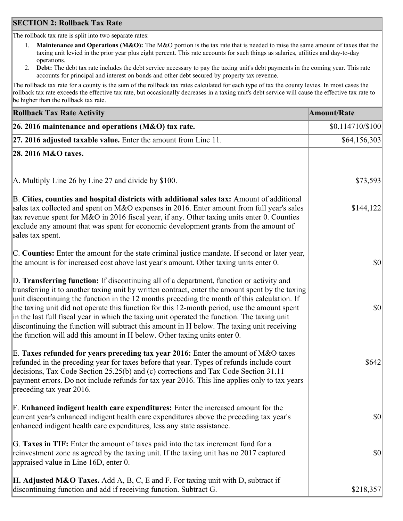## **SECTION 2: Rollback Tax Rate**

The rollback tax rate is split into two separate rates:

- 1. **Maintenance and Operations (M&O):** The M&O portion is the tax rate that is needed to raise the same amount of taxes that the taxing unit levied in the prior year plus eight percent. This rate accounts for such things as salaries, utilities and day-to-day operations.
- 2. **Debt:** The debt tax rate includes the debt service necessary to pay the taxing unit's debt payments in the coming year. This rate accounts for principal and interest on bonds and other debt secured by property tax revenue.

The rollback tax rate for a county is the sum of the rollback tax rates calculated for each type of tax the county levies. In most cases the rollback tax rate exceeds the effective tax rate, but occasionally decreases in a taxing unit's debt service will cause the effective tax rate to be higher than the rollback tax rate.

| <b>Rollback Tax Rate Activity</b>                                                                                                                                                                                                                                                                                                                                                                                                                                                                                                                                                                                                                                       | <b>Amount/Rate</b> |
|-------------------------------------------------------------------------------------------------------------------------------------------------------------------------------------------------------------------------------------------------------------------------------------------------------------------------------------------------------------------------------------------------------------------------------------------------------------------------------------------------------------------------------------------------------------------------------------------------------------------------------------------------------------------------|--------------------|
| 26. 2016 maintenance and operations (M&O) tax rate.                                                                                                                                                                                                                                                                                                                                                                                                                                                                                                                                                                                                                     | \$0.114710/\$100   |
| $ 27.2016$ adjusted taxable value. Enter the amount from Line 11.                                                                                                                                                                                                                                                                                                                                                                                                                                                                                                                                                                                                       | \$64,156,303       |
| 28. 2016 M&O taxes.                                                                                                                                                                                                                                                                                                                                                                                                                                                                                                                                                                                                                                                     |                    |
|                                                                                                                                                                                                                                                                                                                                                                                                                                                                                                                                                                                                                                                                         |                    |
| A. Multiply Line 26 by Line 27 and divide by \$100.                                                                                                                                                                                                                                                                                                                                                                                                                                                                                                                                                                                                                     | \$73,593           |
| B. Cities, counties and hospital districts with additional sales tax: Amount of additional<br>sales tax collected and spent on M&O expenses in 2016. Enter amount from full year's sales<br>tax revenue spent for M&O in 2016 fiscal year, if any. Other taxing units enter 0. Counties<br>exclude any amount that was spent for economic development grants from the amount of<br>sales tax spent.                                                                                                                                                                                                                                                                     | \$144,122          |
| C. Counties: Enter the amount for the state criminal justice mandate. If second or later year,<br>the amount is for increased cost above last year's amount. Other taxing units enter 0.                                                                                                                                                                                                                                                                                                                                                                                                                                                                                | $ 10\rangle$       |
| D. Transferring function: If discontinuing all of a department, function or activity and<br>transferring it to another taxing unit by written contract, enter the amount spent by the taxing<br>unit discontinuing the function in the 12 months preceding the month of this calculation. If<br>the taxing unit did not operate this function for this 12-month period, use the amount spent<br>in the last full fiscal year in which the taxing unit operated the function. The taxing unit<br>discontinuing the function will subtract this amount in H below. The taxing unit receiving<br>the function will add this amount in H below. Other taxing units enter 0. | $ 10\rangle$       |
| E. Taxes refunded for years preceding tax year 2016: Enter the amount of M&O taxes<br>refunded in the preceding year for taxes before that year. Types of refunds include court<br>decisions, Tax Code Section 25.25(b) and (c) corrections and Tax Code Section 31.11<br>payment errors. Do not include refunds for tax year 2016. This line applies only to tax years<br>preceding tax year 2016.                                                                                                                                                                                                                                                                     | \$642              |
| F. Enhanced indigent health care expenditures: Enter the increased amount for the<br>current year's enhanced indigent health care expenditures above the preceding tax year's<br>enhanced indigent health care expenditures, less any state assistance.                                                                                                                                                                                                                                                                                                                                                                                                                 | <b>\$0</b>         |
| G. Taxes in TIF: Enter the amount of taxes paid into the tax increment fund for a<br>reinvestment zone as agreed by the taxing unit. If the taxing unit has no 2017 captured<br>appraised value in Line 16D, enter 0.                                                                                                                                                                                                                                                                                                                                                                                                                                                   | $ 10\rangle$       |
| <b>H. Adjusted M&amp;O Taxes.</b> Add A, B, C, E and F. For taxing unit with D, subtract if<br>discontinuing function and add if receiving function. Subtract G.                                                                                                                                                                                                                                                                                                                                                                                                                                                                                                        | \$218,357          |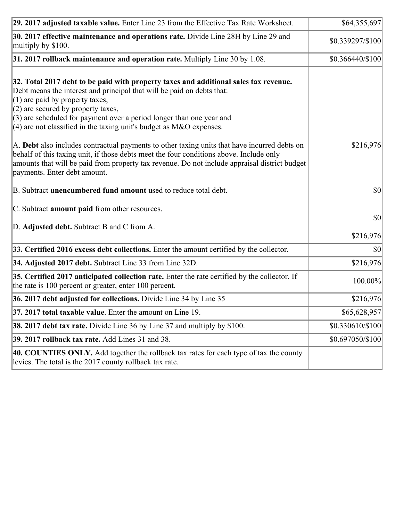| 29. 2017 adjusted taxable value. Enter Line 23 from the Effective Tax Rate Worksheet.                                                                                                                                                                                                                                                                                                          | \$64,355,697      |
|------------------------------------------------------------------------------------------------------------------------------------------------------------------------------------------------------------------------------------------------------------------------------------------------------------------------------------------------------------------------------------------------|-------------------|
| 30. 2017 effective maintenance and operations rate. Divide Line 28H by Line 29 and<br>multiply by \$100.                                                                                                                                                                                                                                                                                       | \$0.339297/\$100  |
| $31.2017$ rollback maintenance and operation rate. Multiply Line 30 by 1.08.                                                                                                                                                                                                                                                                                                                   | $$0.366440/\$100$ |
| 32. Total 2017 debt to be paid with property taxes and additional sales tax revenue.<br>Debt means the interest and principal that will be paid on debts that:<br>$(1)$ are paid by property taxes,<br>$(2)$ are secured by property taxes,<br>$(3)$ are scheduled for payment over a period longer than one year and<br>$(4)$ are not classified in the taxing unit's budget as M&O expenses. |                   |
| A. Debt also includes contractual payments to other taxing units that have incurred debts on<br>behalf of this taxing unit, if those debts meet the four conditions above. Include only<br>amounts that will be paid from property tax revenue. Do not include appraisal district budget<br>payments. Enter debt amount.                                                                       | \$216,976         |
| B. Subtract unencumbered fund amount used to reduce total debt.                                                                                                                                                                                                                                                                                                                                | \$0               |
| C. Subtract amount paid from other resources.                                                                                                                                                                                                                                                                                                                                                  |                   |
| D. Adjusted debt. Subtract B and C from A.                                                                                                                                                                                                                                                                                                                                                     | 30 <br>\$216,976  |
| 33. Certified 2016 excess debt collections. Enter the amount certified by the collector.                                                                                                                                                                                                                                                                                                       | $ 10\rangle$      |
| 34. Adjusted 2017 debt. Subtract Line 33 from Line 32D.                                                                                                                                                                                                                                                                                                                                        | \$216,976         |
| 35. Certified 2017 anticipated collection rate. Enter the rate certified by the collector. If<br>the rate is 100 percent or greater, enter 100 percent.                                                                                                                                                                                                                                        | 100.00%           |
| 36. 2017 debt adjusted for collections. Divide Line 34 by Line 35                                                                                                                                                                                                                                                                                                                              | \$216,976         |
| $37.2017$ total taxable value. Enter the amount on Line 19.                                                                                                                                                                                                                                                                                                                                    | \$65,628,957      |
| <b>38. 2017 debt tax rate.</b> Divide Line 36 by Line 37 and multiply by \$100.                                                                                                                                                                                                                                                                                                                | \$0.330610/\$100  |
| <b>39. 2017 rollback tax rate.</b> Add Lines 31 and 38.                                                                                                                                                                                                                                                                                                                                        | \$0.697050/\$100  |
| 40. COUNTIES ONLY. Add together the rollback tax rates for each type of tax the county<br>levies. The total is the 2017 county rollback tax rate.                                                                                                                                                                                                                                              |                   |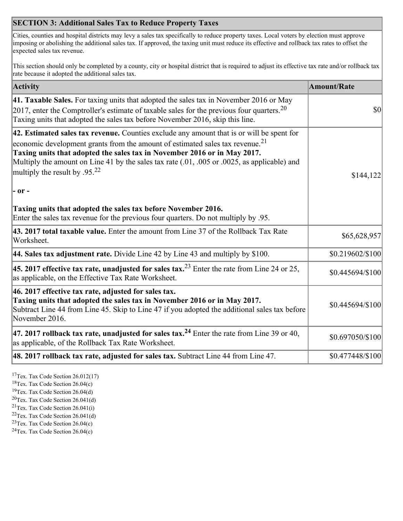## **SECTION 3: Additional Sales Tax to Reduce Property Taxes**

Cities, counties and hospital districts may levy a sales tax specifically to reduce property taxes. Local voters by election must approve imposing or abolishing the additional sales tax. If approved, the taxing unit must reduce its effective and rollback tax rates to offset the expected sales tax revenue.

This section should only be completed by a county, city or hospital district that is required to adjust its effective tax rate and/or rollback tax rate because it adopted the additional sales tax.

| <b>Activity</b>                                                                                                                                                                                                                                                                                                                                                                                                 | <b>Amount/Rate</b> |
|-----------------------------------------------------------------------------------------------------------------------------------------------------------------------------------------------------------------------------------------------------------------------------------------------------------------------------------------------------------------------------------------------------------------|--------------------|
| 41. Taxable Sales. For taxing units that adopted the sales tax in November 2016 or May<br>[2017, enter the Comptroller's estimate of taxable sales for the previous four quarters. <sup>20</sup><br>Taxing units that adopted the sales tax before November 2016, skip this line.                                                                                                                               | $\vert$ so $\vert$ |
| 42. Estimated sales tax revenue. Counties exclude any amount that is or will be spent for<br>economic development grants from the amount of estimated sales tax revenue. <sup>21</sup><br>Taxing units that adopted the sales tax in November 2016 or in May 2017.<br>Multiply the amount on Line 41 by the sales tax rate (.01, .005 or .0025, as applicable) and<br>multiply the result by .95. <sup>22</sup> | \$144,122          |
| $ -$ or $-$                                                                                                                                                                                                                                                                                                                                                                                                     |                    |
| Taxing units that adopted the sales tax before November 2016.<br>Enter the sales tax revenue for the previous four quarters. Do not multiply by .95.                                                                                                                                                                                                                                                            |                    |
| 43. 2017 total taxable value. Enter the amount from Line 37 of the Rollback Tax Rate<br>Worksheet.                                                                                                                                                                                                                                                                                                              | \$65,628,957       |
| 44. Sales tax adjustment rate. Divide Line 42 by Line 43 and multiply by $$100$ .                                                                                                                                                                                                                                                                                                                               | \$0.219602/\$100   |
| 45. 2017 effective tax rate, unadjusted for sales tax. <sup>23</sup> Enter the rate from Line 24 or 25,<br>as applicable, on the Effective Tax Rate Worksheet.                                                                                                                                                                                                                                                  | \$0.445694/\$100   |
| 46. 2017 effective tax rate, adjusted for sales tax.<br>Taxing units that adopted the sales tax in November 2016 or in May 2017.<br>Subtract Line 44 from Line 45. Skip to Line 47 if you adopted the additional sales tax before<br>November 2016.                                                                                                                                                             | \$0.445694/\$100   |
| 47. 2017 rollback tax rate, unadjusted for sales tax. <sup>24</sup> Enter the rate from Line 39 or 40,<br>as applicable, of the Rollback Tax Rate Worksheet.                                                                                                                                                                                                                                                    | \$0.697050/\$100   |
| $ 48.2017$ rollback tax rate, adjusted for sales tax. Subtract Line 44 from Line 47.                                                                                                                                                                                                                                                                                                                            | \$0.477448/\$100   |

<sup>17</sup>Tex. Tax Code Section 26.012(17)

<sup>18</sup>Tex. Tax Code Section 26.04(c)

<sup>19</sup>Tex. Tax Code Section 26.04(d)

<sup>20</sup>Tex. Tax Code Section 26.041(d)

- $21$ Tex. Tax Code Section 26.041(i)
- <sup>22</sup>Tex. Tax Code Section 26.041(d)
- <sup>23</sup>Tex. Tax Code Section  $26.04(c)$

<sup>24</sup>Tex. Tax Code Section  $26.04(c)$